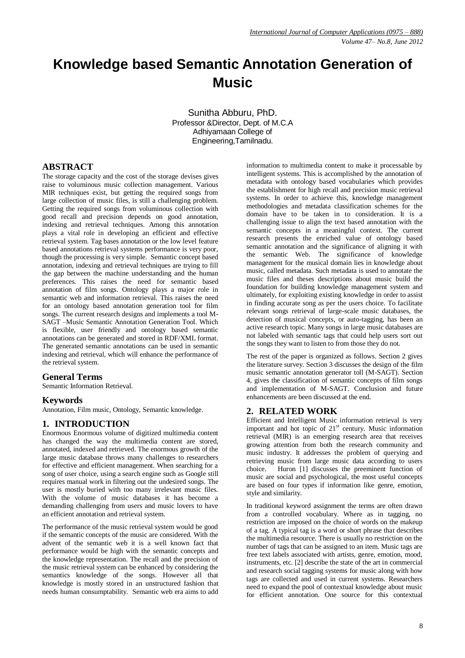# **Knowledge based Semantic Annotation Generation of Music**

Sunitha Abburu, PhD. Professor &Director, Dept. of M.C.A Adhiyamaan College of Engineering,Tamilnadu.

## **ABSTRACT**

The storage capacity and the cost of the storage devises gives raise to voluminous music collection management. Various MIR techniques exist, but getting the required songs from large collection of music files, is still a challenging problem. Getting the required songs from voluminous collection with good recall and precision depends on good annotation, indexing and retrieval techniques. Among this annotation plays a vital role in developing an efficient and effective retrieval system. Tag bases annotation or the low level feature based annotations retrieval systems performance is very poor, though the processing is very simple. Semantic concept based annotation, indexing and retrieval techniques are trying to fill the gap between the machine understanding and the human preferences. This raises the need for semantic based annotation of film songs. Ontology plays a major role in semantic web and information retrieval. This raises the need for an ontology based annotation generation tool for film songs. The current research designs and implements a tool M-SAGT –Music Semantic Annotation Generation Tool. Which is flexible, user friendly and ontology based semantic annotations can be generated and stored in RDF/XML format. The generated semantic annotations can be used in semantic indexing and retrieval, which will enhance the performance of the retrieval system.

### **General Terms**

Semantic Information Retrieval.

### **Keywords**

Annotation, Film music, Ontology, Semantic knowledge.

### **1. INTRODUCTION**

Enormous Enormous volume of digitized multimedia content has changed the way the multimedia content are stored, annotated, indexed and retrieved. The enormous growth of the large music database throws many challenges to researchers for effective and efficient management. When searching for a song of user choice, using a search engine such as Google still requires manual work in filtering out the undesired songs. The user is mostly buried with too many irrelevant music files. With the volume of music databases it has become a demanding challenging from users and music lovers to have an efficient annotation and retrieval system.

The performance of the music retrieval system would be good if the semantic concepts of the music are considered. With the advent of the semantic web it is a well known fact that performance would be high with the semantic concepts and the knowledge representation. The recall and the precision of the music retrieval system can be enhanced by considering the semantics knowledge of the songs. However all that knowledge is mostly stored in an unstructured fashion that needs human consumptability. Semantic web era aims to add

information to multimedia content to make it processable by intelligent systems. This is accomplished by the annotation of metadata with ontology based vocabularies which provides the establishment for high recall and precision music retrieval systems. In order to achieve this, knowledge management methodologies and metadata classification schemes for the domain have to be taken in to consideration. It is a challenging issue to align the text based annotation with the semantic concepts in a meaningful context. The current research presents the enriched value of ontology based semantic annotation and the significance of aligning it with the semantic Web. The significance of knowledge management for the musical domain lies in knowledge about music, called metadata. Such metadata is used to annotate the music files and theses descriptions about music build the foundation for building knowledge management system and ultimately, for exploiting existing knowledge in order to assist in finding accurate song as per the users choice. To facilitate relevant songs retrieval of large-scale music databases, the detection of musical concepts, or auto-tagging, has been an active research topic. Many songs in large music databases are not labeled with semantic tags that could help users sort out the songs they want to listen to from those they do not.

The rest of the paper is organized as follows. Section 2 gives the literature survey. Section 3 discusses the design of the film music semantic annotation generator toll (M-SAGT). Section 4, gives the classification of semantic concepts of film songs and implementation of M-SAGT. Conclusion and future enhancements are been discussed at the end.

# **2. RELATED WORK**

Efficient and Intelligent Music information retrieval is very important and hot topic of  $21<sup>st</sup>$  century. Music information retrieval (MIR) is an emerging research area that receives growing attention from both the research community and music industry. It addresses the problem of querying and retrieving music from large music data according to users choice. Huron [1] discusses the preeminent function of music are social and psychological, the most useful concepts are based on four types if information like genre, emotion, style and similarity.

In traditional keyword assignment the terms are often drawn from a controlled vocabulary. Where as in tagging, no restriction are imposed on the choice of words on the makeup of a tag. A typical tag is a word or short phrase that describes the multimedia resource. There is usually no restriction on the number of tags that can be assigned to an item. Music tags are free text labels associated with artists, genre, emotion, mood, instruments, etc. [2] describe the state of the art in commercial and research social tagging systems for music along with how tags are collected and used in current systems. Researchers need to expand the pool of contextual knowledge about music for efficient annotation. One source for this contextual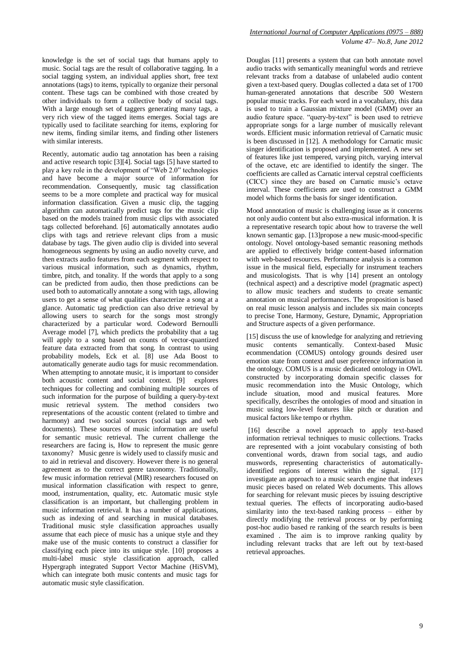knowledge is the set of social tags that humans apply to music. Social tags are the result of collaborative tagging. In a social tagging system, an individual applies short, free text annotations (tags) to items, typically to organize their personal content. These tags can be combined with those created by other individuals to form a collective body of social tags. With a large enough set of taggers generating many tags, a very rich view of the tagged items emerges. Social tags are typically used to facilitate searching for items, exploring for new items, finding similar items, and finding other listeners with similar interests.

Recently, automatic audio tag annotation has been a raising and active research topic [3][4]. Social tags [5] have started to play a key role in the development of "Web 2.0" technologies and have become a major source of information for recommendation. Consequently, music tag classification seems to be a more complete and practical way for musical information classification. Given a music clip, the tagging algorithm can automatically predict tags for the music clip based on the models trained from music clips with associated tags collected beforehand. [6] automatically annotates audio clips with tags and retrieve relevant clips from a music database by tags. The given audio clip is divided into several homogeneous segments by using an audio novelty curve, and then extracts audio features from each segment with respect to various musical information, such as dynamics, rhythm, timbre, pitch, and tonality. If the words that apply to a song can be predicted from audio, then those predictions can be used both to automatically annotate a song with tags, allowing users to get a sense of what qualities characterize a song at a glance. Automatic tag prediction can also drive retrieval by allowing users to search for the songs most strongly characterized by a particular word. Codeword Bernoulli Average model [7], which predicts the probability that a tag will apply to a song based on counts of vector-quantized feature data extracted from that song. In contrast to using probability models, Eck et al. [8] use Ada Boost to automatically generate audio tags for music recommendation. When attempting to annotate music, it is important to consider both acoustic content and social context. [9] explores techniques for collecting and combining multiple sources of such information for the purpose of building a query-by-text music retrieval system. The method considers two representations of the acoustic content (related to timbre and harmony) and two social sources (social tags and web documents). These sources of music information are useful for semantic music retrieval. The current challenge the researchers are facing is, How to represent the music genre taxonomy? Music genre is widely used to classify music and to aid in retrieval and discovery. However there is no general agreement as to the correct genre taxonomy. Traditionally, few music information retrieval (MIR) researchers focused on musical information classification with respect to genre, mood, instrumentation, quality, etc. Automatic music style classification is an important, but challenging problem in music information retrieval. It has a number of applications, such as indexing of and searching in musical databases. Traditional music style classification approaches usually assume that each piece of music has a unique style and they make use of the music contents to construct a classifier for classifying each piece into its unique style. [10] proposes a multi-label music style classification approach, called Hypergraph integrated Support Vector Machine (HiSVM), which can integrate both music contents and music tags for automatic music style classification.

#### *International Journal of Computer Applications (0975 – 888) Volume 47– No.8, June 2012*

Douglas [11] presents a system that can both annotate novel audio tracks with semantically meaningful words and retrieve relevant tracks from a database of unlabeled audio content given a text-based query. Douglas collected a data set of 1700 human-generated annotations that describe 500 Western popular music tracks. For each word in a vocabulary, this data is used to train a Gaussian mixture model (GMM) over an audio feature space. "query-by-text" is been used to retrieve appropriate songs for a large number of musically relevant words. Efficient music information retrieval of Carnatic music is been discussed in [12]. A methodology for Carnatic music singer identification is proposed and implemented. A new set of features like just tempered, varying pitch, varying interval of the octave, etc are identified to identify the singer. The coefficients are called as Carnatic interval cepstral coefficients (CICC) since they are based on Carnatic music"s octave interval. These coefficients are used to construct a GMM model which forms the basis for singer identification.

Mood annotation of music is challenging issue as it concerns not only audio content but also extra-musical information. It is a representative research topic about how to traverse the well known semantic gap. [13]propose a new music-mood-specific ontology. Novel ontology-based semantic reasoning methods are applied to effectively bridge content-based information with web-based resources. Performance analysis is a common issue in the musical field, especially for instrument teachers and musicologists. That is why [14] present an ontology (technical aspect) and a descriptive model (pragmatic aspect) to allow music teachers and students to create semantic annotation on musical performances. The proposition is based on real music lesson analysis and includes six main concepts to precise Tone, Harmony, Gesture, Dynamic, Appropriation and Structure aspects of a given performance.

[15] discuss the use of knowledge for analyzing and retrieving music contents semantically. Context-based Music ecommendation (COMUS) ontology grounds desired user emotion state from context and user preference information in the ontology. COMUS is a music dedicated ontology in OWL constructed by incorporating domain specific classes for music recommendation into the Music Ontology, which include situation, mood and musical features. More specifically, describes the ontologies of mood and situation in music using low-level features like pitch or duration and musical factors like tempo or rhythm.

[16] describe a novel approach to apply text-based information retrieval techniques to music collections. Tracks are represented with a joint vocabulary consisting of both conventional words, drawn from social tags, and audio muswords, representing characteristics of automaticallyidentified regions of interest within the signal. [17] investigate an approach to a music search engine that indexes music pieces based on related Web documents. This allows for searching for relevant music pieces by issuing descriptive textual queries. The effects of incorporating audio-based similarity into the text-based ranking process – either by directly modifying the retrieval process or by performing post-hoc audio based re ranking of the search results is been examined . The aim is to improve ranking quality by including relevant tracks that are left out by text-based retrieval approaches.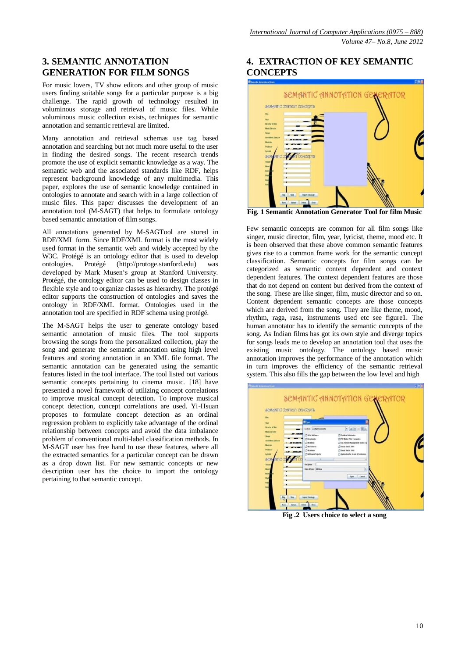# **3. SEMANTIC ANNOTATION GENERATION FOR FILM SONGS**

For music lovers, TV show editors and other group of music users finding suitable songs for a particular purpose is a big challenge. The rapid growth of technology resulted in voluminous storage and retrieval of music files. While voluminous music collection exists, techniques for semantic annotation and semantic retrieval are limited.

Many annotation and retrieval schemas use tag based annotation and searching but not much more useful to the user in finding the desired songs. The recent research trends promote the use of explicit semantic knowledge as a way. The semantic web and the associated standards like RDF, helps represent background knowledge of any multimedia. This paper, explores the use of semantic knowledge contained in ontologies to annotate and search with in a large collection of music files. This paper discusses the development of an annotation tool (M-SAGT) that helps to formulate ontology based semantic annotation of film songs.

All annotations generated by M-SAGTool are stored in RDF/XML form. Since RDF/XML format is the most widely used format in the semantic web and widely accepted by the W3C. Protégé is an ontology editor that is used to develop ontologies. Protégé (http://protoge.stanford.edu) was developed by Mark Musen"s group at Stanford University. Protégé, the ontology editor can be used to design classes in flexible style and to organize classes as hierarchy. The protégé editor supports the construction of ontologies and saves the ontology in RDF/XML format. Ontologies used in the annotation tool are specified in RDF schema using protégé.

The M-SAGT helps the user to generate ontology based semantic annotation of music files. The tool supports browsing the songs from the personalized collection, play the song and generate the semantic annotation using high level features and storing annotation in an XML file format. The semantic annotation can be generated using the semantic features listed in the tool interface. The tool listed out various semantic concepts pertaining to cinema music. [18] have presented a novel framework of utilizing concept correlations to improve musical concept detection. To improve musical concept detection, concept correlations are used. Yi-Hsuan proposes to formulate concept detection as an ordinal regression problem to explicitly take advantage of the ordinal relationship between concepts and avoid the data imbalance problem of conventional multi-label classification methods. In M-SAGT user has free hand to use these features, where all the extracted semantics for a particular concept can be drawn as a drop down list. For new semantic concepts or new description user has the choice to import the ontology pertaining to that semantic concept.

# **4. EXTRACTION OF KEY SEMANTIC CONCEPTS**



**Fig. 1 Semantic Annotation Generator Tool for film Music**

Few semantic concepts are common for all film songs like singer, music director, film, year, lyricist, theme, mood etc. It is been observed that these above common semantic features gives rise to a common frame work for the semantic concept classification. Semantic concepts for film songs can be categorized as semantic content dependent and context dependent features. The context dependent features are those that do not depend on content but derived from the context of the song. These are like singer, film, music director and so on. Content dependent semantic concepts are those concepts which are derived from the song. They are like theme, mood, rhythm, raga, rasa, instruments used etc see figure1. The human annotator has to identify the semantic concepts of the song. As Indian films has got its own style and diverge topics for songs leads me to develop an annotation tool that uses the existing music ontology. The ontology based music annotation improves the performance of the annotation which in turn improves the efficiency of the semantic retrieval system. This also fills the gap between the low level and high



**Fig .2 Users choice to select a song**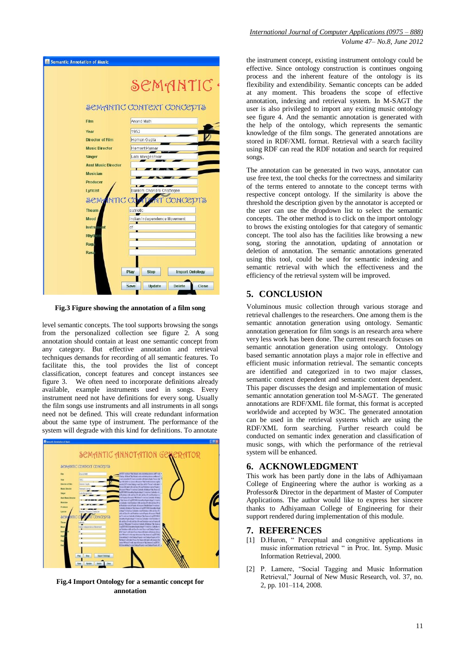| Semantic Annotation of Music |                                               |
|------------------------------|-----------------------------------------------|
|                              | SCMANTIC                                      |
|                              | SCMANTIC CONTEXT CONCEPTS                     |
| Film                         | Anand Math                                    |
| Year                         | 1952                                          |
| <b>Director of Film</b>      | Hemen Gupta                                   |
| <b>Music Director</b>        | Hemant Kumar                                  |
| <b>Singer</b>                | Lata Mangeshkar                               |
| <b>Asst Music Director</b>   |                                               |
| <b>Musician</b>              |                                               |
| <b>Producer</b>              |                                               |
| Lyricist                     | Bankim Chandra Chatterjee                     |
| <b>SCMANTIC CO</b>           | IT CONCEPTS                                   |
| <b>Theam</b>                 | patriotic                                     |
| Mood                         | Indian Independence Movement                  |
| <b>Instrument</b>            | df                                            |
| Rhythen                      |                                               |
| Raga                         |                                               |
| <b>Rasa</b>                  |                                               |
|                              |                                               |
|                              | <b>Import Ontology</b><br><b>Stop</b><br>Play |
|                              |                                               |
|                              | Update<br><b>Delete</b><br>Close<br>Save      |

**Fig.3 Figure showing the annotation of a film song**

level semantic concepts. The tool supports browsing the songs from the personalized collection see figure 2. A song annotation should contain at least one semantic concept from any category. But effective annotation and retrieval techniques demands for recording of all semantic features. To facilitate this, the tool provides the list of concept classification, concept features and concept instances see figure 3. We often need to incorporate definitions already available, example instruments used in songs. Every instrument need not have definitions for every song. Usually the film songs use instruments and all instruments in all songs need not be defined. This will create redundant information about the same type of instrument. The performance of the system will degrade with this kind for definitions. To annotate



**Fig.4 Import Ontology for a semantic concept for annotation**

#### *International Journal of Computer Applications (0975 – 888) Volume 47– No.8, June 2012*

the instrument concept, existing instrument ontology could be effective. Since ontology construction is continues ongoing process and the inherent feature of the ontology is its flexibility and extendibility. Semantic concepts can be added at any moment. This broadens the scope of effective annotation, indexing and retrieval system. In M-SAGT the user is also privileged to import any exiting music ontology see figure 4. And the semantic annotation is generated with the help of the ontology, which represents the semantic knowledge of the film songs. The generated annotations are stored in RDF/XML format. Retrieval with a search facility using RDF can read the RDF notation and search for required songs.

The annotation can be generated in two ways, annotator can use free text, the tool checks for the correctness and similarity of the terms entered to annotate to the concept terms with respective concept ontology. If the similarity is above the threshold the description given by the annotator is accepted or the user can use the dropdown list to select the semantic concepts. The other method is to click on the import ontology to brows the existing ontologies for that category of semantic concept. The tool also has the facilities like browsing a new song, storing the annotation, updating of annotation or deletion of annotation. The semantic annotations generated using this tool, could be used for semantic indexing and semantic retrieval with which the effectiveness and the efficiency of the retrieval system will be improved.

# **5. CONCLUSION**

Voluminous music collection through various storage and retrieval challenges to the researchers. One among them is the semantic annotation generation using ontology. Semantic annotation generation for film songs is an research area where very less work has been done. The current research focuses on semantic annotation generation using ontology. Ontology based semantic annotation plays a major role in effective and efficient music information retrieval. The semantic concepts are identified and categorized in to two major classes, semantic context dependent and semantic content dependent. This paper discusses the design and implementation of music semantic annotation generation tool M-SAGT. The generated annotations are RDF/XML file format, this format is accepted worldwide and accepted by W3C. The generated annotation can be used in the retrieval systems which are using the RDF/XML form searching. Further research could be conducted on semantic index generation and classification of music songs, with which the performance of the retrieval system will be enhanced.

# **6. ACKNOWLEDGMENT**

This work has been partly done in the labs of Adhiyamaan College of Engineering where the author is working as a Professor& Director in the department of Master of Computer Applications. The author would like to express her sincere thanks to Adhiyamaan College of Engineering for their support rendered during implementation of this module.

### **7. REFERENCES**

- [1] D.Huron, " Perceptual and congnitive applications in music information retrieval " in Proc. Int. Symp. Music Information Retrieval, 2000.
- [2] P. Lamere, "Social Tagging and Music Information Retrieval," Journal of New Music Research, vol. 37, no. 2, pp. 101–114, 2008.